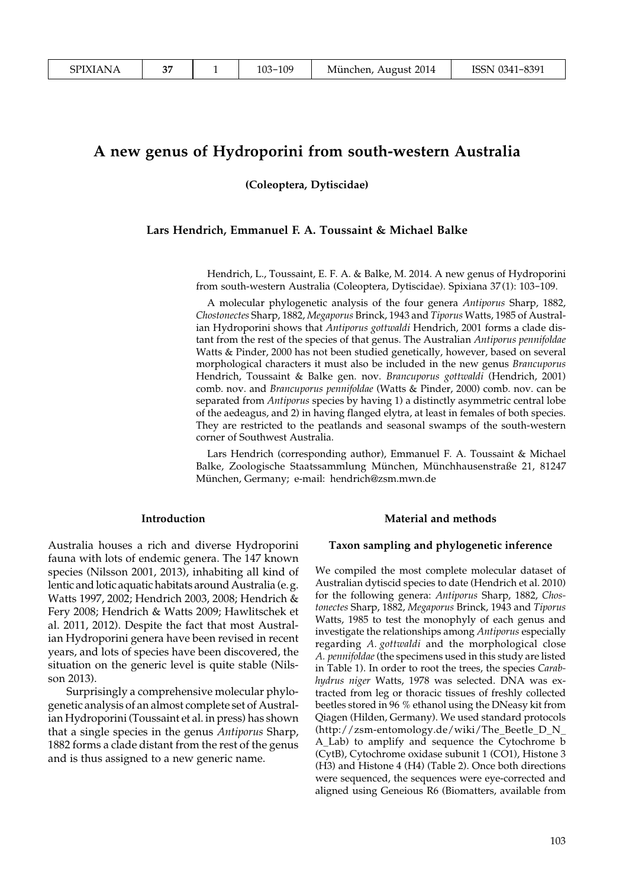# **A new genus of Hydroporini from south-western Australia**

**(Coleoptera, Dytiscidae)**

#### **Lars Hendrich, Emmanuel F. A. Toussaint & Michael Balke**

Hendrich, L., Toussaint, E. F. A. & Balke, M. 2014. A new genus of Hydroporini from south-western Australia (Coleoptera, Dytiscidae). Spixiana 37(1): 103-109.

A molecular phylogenetic analysis of the four genera *Antiporus* Sharp, 1882, *Chostonectes* Sharp, 1882, *Megaporus* Brinck, 1943 and *Tiporus* Watts, 1985 of Australian Hydroporini shows that *Antiporus gottwaldi* Hendrich, 2001 forms a clade distant from the rest of the species of that genus. The Australian *Antiporus pennifoldae* Watts & Pinder, 2000 has not been studied genetically, however, based on several morphological characters it must also be included in the new genus *Brancuporus* Hendrich, Toussaint & Balke gen. nov. *Brancuporus gottwaldi* (Hendrich, 2001) comb. nov. and *Brancuporus pennifoldae* (Watts & Pinder, 2000) comb. nov. can be separated from *Antiporus* species by having 1) a distinctly asymmetric central lobe of the aedeagus, and 2) in having flanged elytra, at least in females of both species. They are restricted to the peatlands and seasonal swamps of the south-western corner of Southwest Australia.

Lars Hendrich (corresponding author), Emmanuel F. A. Toussaint & Michael Balke, Zoologische Staatssammlung München, Münchhausenstraße 21, 81247 München, Germany; e-mail: hendrich@zsm.mwn.de

#### **Introduction**

Australia houses a rich and diverse Hydroporini fauna with lots of endemic genera. The 147 known species (Nilsson 2001, 2013), inhabiting all kind of lentic and lotic aquatic habitats around Australia (e.g. Watts 1997, 2002; Hendrich 2003, 2008; Hendrich & Fery 2008; Hendrich & Watts 2009; Hawlitschek et al. 2011, 2012). Despite the fact that most Australian Hydroporini genera have been revised in recent years, and lots of species have been discovered, the situation on the generic level is quite stable (Nilsson 2013).

Surprisingly a comprehensive molecular phylogenetic analysis of an almost complete set of Australian Hydroporini (Toussaint et al. in press) has shown that a single species in the genus *Antiporus* Sharp, 1882 forms a clade distant from the rest of the genus and is thus assigned to a new generic name.

#### **Material and methods**

#### **Taxon sampling and phylogenetic inference**

We compiled the most complete molecular dataset of Australian dytiscid species to date (Hendrich et al. 2010) for the following genera: *Antiporus* Sharp, 1882, *Chostonectes* Sharp, 1882, *Megaporus* Brinck, 1943 and *Tiporus* Watts, 1985 to test the monophyly of each genus and investigate the relationships among *Antiporus* especially regarding *A. gottwaldi* and the morphological close *A. pennifoldae* (the specimens used in this study are listed in Table 1). In order to root the trees, the species *Carabhydrus niger* Watts, 1978 was selected. DNA was extracted from leg or thoracic tissues of freshly collected beetles stored in 96 % ethanol using the DNeasy kit from Qiagen (Hilden, Germany). We used standard protocols (http://zsm-entomology.de/wiki/The\_Beetle\_D\_N\_ A\_Lab) to amplify and sequence the Cytochrome b (CytB), Cytochrome oxidase subunit 1 (CO1), Histone 3 (H3) and Histone 4 (H4) (Table 2). Once both directions were sequenced, the sequences were eye-corrected and aligned using Geneious R6 (Biomatters, available from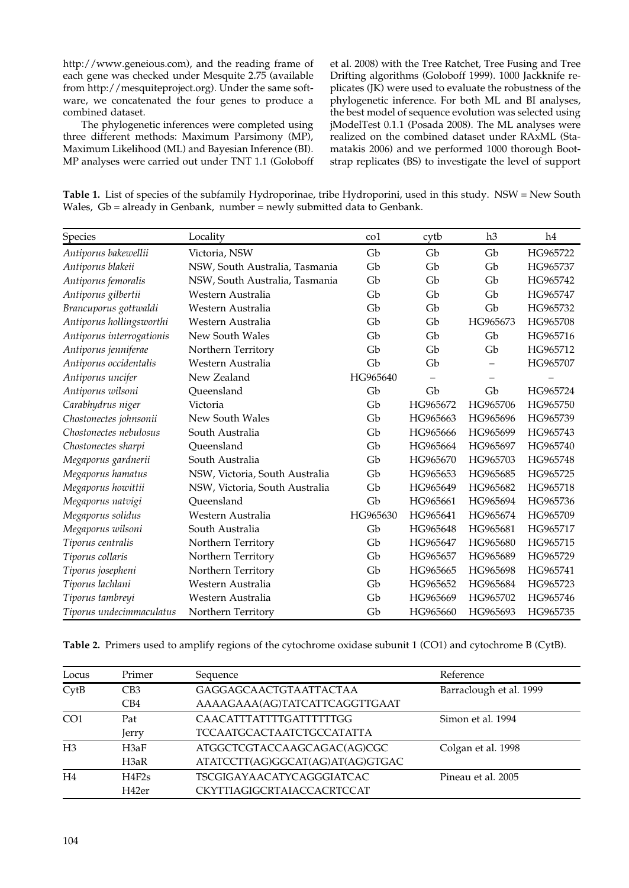http://www.geneious.com), and the reading frame of each gene was checked under Mesquite 2.75 (available from http://mesquiteproject.org). Under the same software, we concatenated the four genes to produce a combined dataset.

The phylogenetic inferences were completed using three different methods: Maximum Parsimony (MP), Maximum Likelihood (ML) and Bayesian Inference (BI). MP analyses were carried out under TNT 1.1 (Goloboff et al. 2008) with the Tree Ratchet, Tree Fusing and Tree Drifting algorithms (Goloboff 1999). 1000 Jackknife replicates (JK) were used to evaluate the robustness of the phylogenetic inference. For both ML and BI analyses, the best model of sequence evolution was selected using jModelTest 0.1.1 (Posada 2008). The ML analyses were realized on the combined dataset under RAxML (Stamatakis 2006) and we performed 1000 thorough Bootstrap replicates (BS) to investigate the level of support

**Table 1.** List of species of the subfamily Hydroporinae, tribe Hydroporini, used in this study. NSW = New South Wales, Gb = already in Genbank, number = newly submitted data to Genbank.

| Species                   | Locality                       | co1      | cytb     | h3       | h4       |
|---------------------------|--------------------------------|----------|----------|----------|----------|
| Antiporus bakewellii      | Victoria, NSW                  | Gb       | Gb       | Gb       | HG965722 |
| Antiporus blakeii         | NSW, South Australia, Tasmania | Gb       | Gb       | Gb       | HG965737 |
| Antiporus femoralis       | NSW, South Australia, Tasmania | Gb       | Gb       | Gb       | HG965742 |
| Antiporus gilbertii       | Western Australia              | Gb       | Gb       | Gb       | HG965747 |
| Brancuporus gottwaldi     | Western Australia              | Gb       | Gb       | Gb       | HG965732 |
| Antiporus hollingsworthi  | Western Australia              | Gb       | Gb       | HG965673 | HG965708 |
| Antiporus interrogationis | New South Wales                | Gb       | Gb       | Gb       | HG965716 |
| Antiporus jenniferae      | Northern Territory             | Gb       | Gb       | Gb       | HG965712 |
| Antiporus occidentalis    | Western Australia              | Gb       | Gb       |          | HG965707 |
| Antiporus uncifer         | New Zealand                    | HG965640 |          |          |          |
| Antiporus wilsoni         | Oueensland                     | Gb       | Gb       | Gb       | HG965724 |
| Carabhydrus niger         | Victoria                       | Gb       | HG965672 | HG965706 | HG965750 |
| Chostonectes johnsonii    | New South Wales                | Gb       | HG965663 | HG965696 | HG965739 |
| Chostonectes nebulosus    | South Australia                | Gb       | HG965666 | HG965699 | HG965743 |
| Chostonectes sharpi       | Queensland                     | Gb       | HG965664 | HG965697 | HG965740 |
| Megaporus gardnerii       | South Australia                | Gb       | HG965670 | HG965703 | HG965748 |
| Megaporus hamatus         | NSW, Victoria, South Australia | Gb       | HG965653 | HG965685 | HG965725 |
| Megaporus howittii        | NSW, Victoria, South Australia | Gb       | HG965649 | HG965682 | HG965718 |
| Megaporus natvigi         | Oueensland                     | Gb       | HG965661 | HG965694 | HG965736 |
| Megaporus solidus         | Western Australia              | HG965630 | HG965641 | HG965674 | HG965709 |
| Megaporus wilsoni         | South Australia                | Gb       | HG965648 | HG965681 | HG965717 |
| Tiporus centralis         | Northern Territory             | Gb       | HG965647 | HG965680 | HG965715 |
| Tiporus collaris          | Northern Territory             | Gb       | HG965657 | HG965689 | HG965729 |
| Tiporus josepheni         | Northern Territory             | Gb       | HG965665 | HG965698 | HG965741 |
| Tiporus lachlani          | Western Australia              | Gb       | HG965652 | HG965684 | HG965723 |
| Tiporus tambreyi          | Western Australia              | Gb       | HG965669 | HG965702 | HG965746 |
| Tiporus undecimmaculatus  | Northern Territory             | Gb       | HG965660 | HG965693 | HG965735 |

**Table 2.** Primers used to amplify regions of the cytochrome oxidase subunit 1 (CO1) and cytochrome B (CytB).

| Locus           | Primer                                    | Sequence                         | Reference               |  |
|-----------------|-------------------------------------------|----------------------------------|-------------------------|--|
| CytB            | GAGGAGCAACTGTAATTACTAA<br>CB <sub>3</sub> |                                  | Barraclough et al. 1999 |  |
|                 | CB4                                       | AAAAGAAA(AG)TATCATTCAGGTTGAAT    |                         |  |
| CO <sub>1</sub> | Pat                                       | CAACATTTATTTTGATTTTTTGG          | Simon et al. 1994       |  |
|                 | Jerry                                     | <b>TCCAATGCACTAATCTGCCATATTA</b> |                         |  |
| H <sub>3</sub>  | H3aF                                      | ATGGCTCGTACCAAGCAGAC(AG)CGC      | Colgan et al. 1998      |  |
|                 | H3aR                                      | ATATCCTT(AG)GGCAT(AG)AT(AG)GTGAC |                         |  |
| H <sub>4</sub>  | H4F2s                                     | <b>TSCGIGAYAACATYCAGGGIATCAC</b> | Pineau et al. 2005      |  |
|                 | H42er                                     | CKYTTIAGIGCRTAIACCACRTCCAT       |                         |  |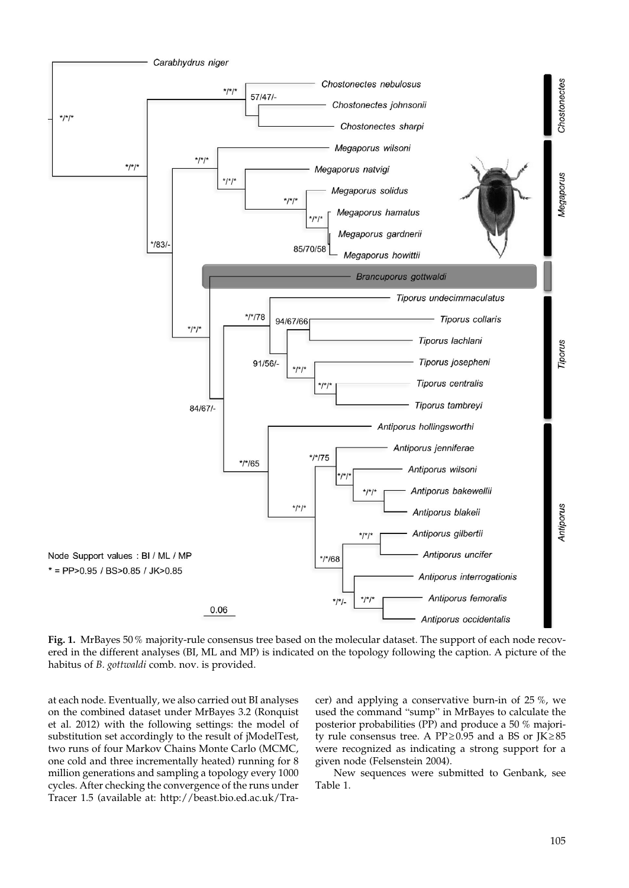

**Fig. 1.** MrBayes 50% majority-rule consensus tree based on the molecular dataset. The support of each node recovered in the different analyses (BI, ML and MP) is indicated on the topology following the caption. A picture of the habitus of *B. gottwaldi* comb. nov. is provided.

at each node. Eventually, we also carried out BI analyses on the combined dataset under MrBayes 3.2 (Ronquist et al. 2012) with the following settings: the model of substitution set accordingly to the result of jModelTest, two runs of four Markov Chains Monte Carlo (MCMC, one cold and three incrementally heated) running for 8 million generations and sampling a topology every 1000 cycles. After checking the convergence of the runs under Tracer 1.5 (available at: http://beast.bio.ed.ac.uk/Tracer) and applying a conservative burn-in of 25 %, we used the command "sump" in MrBayes to calculate the posterior probabilities (PP) and produce a 50 % majority rule consensus tree. A PP≥0.95 and a BS or JK≥85 were recognized as indicating a strong support for a given node (Felsenstein 2004).

New sequences were submitted to Genbank, see Table 1.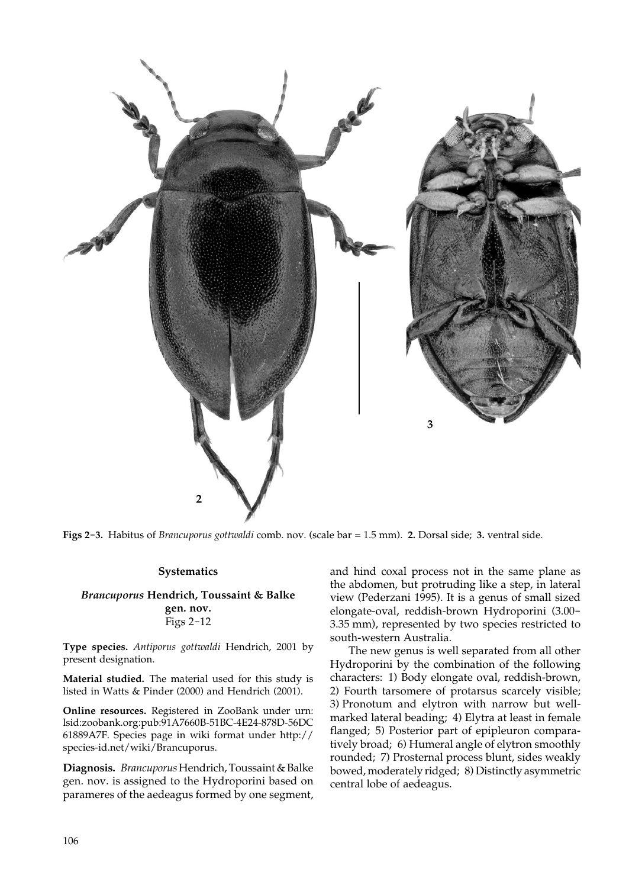

**Figs 2-3.** Habitus of *Brancuporus gottwaldi* comb. nov. (scale bar = 1.5 mm). **2.** Dorsal side; **3.** ventral side.

## **Systematics**

## *Brancuporus* **Hendrich, Toussaint & Balke gen. nov.** Figs 2-12

**Type species.** *Antiporus gottwaldi* Hendrich, 2001 by present designation.

**Material studied.** The material used for this study is listed in Watts & Pinder (2000) and Hendrich (2001).

**Online resources.** Registered in ZooBank under urn: lsid:zoobank.org:pub:91A7660B-51BC-4E24-878D-56DC 61889A7F. Species page in wiki format under http:// species-id.net/wiki/Brancuporus.

**Diagnosis.** *Brancuporus* Hendrich, Toussaint & Balke gen. nov. is assigned to the Hydroporini based on parameres of the aedeagus formed by one segment, and hind coxal process not in the same plane as the abdomen, but protruding like a step, in lateral view (Pederzani 1995). It is a genus of small sized elongate-oval, reddish-brown Hydroporini (3.00- 3.35 mm), represented by two species restricted to south-western Australia.

The new genus is well separated from all other Hydroporini by the combination of the following characters: 1) Body elongate oval, reddish-brown, 2) Fourth tarsomere of protarsus scarcely visible; 3) Pronotum and elytron with narrow but wellmarked lateral beading; 4) Elytra at least in female flanged; 5) Posterior part of epipleuron comparatively broad; 6) Humeral angle of elytron smoothly rounded; 7) Prosternal process blunt, sides weakly bowed, moderately ridged; 8) Distinctly asymmetric central lobe of aedeagus.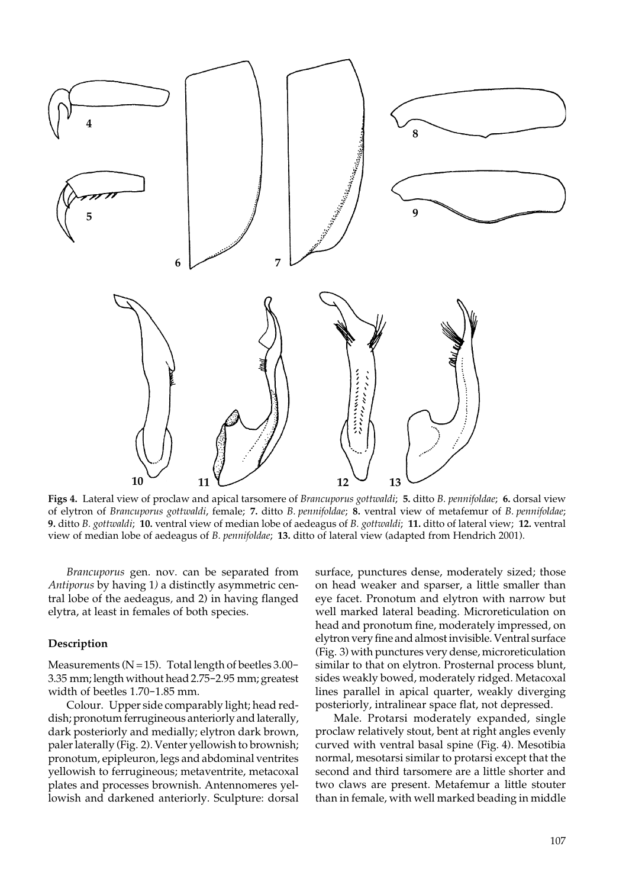

**Figs 4.** Lateral view of proclaw and apical tarsomere of *Brancuporus gottwaldi*; **5.** ditto *B. pennifoldae*; **6.** dorsal view of elytron of *Brancuporus gottwaldi*, female; **7.** ditto *B. pennifoldae*; **8.** ventral view of metafemur of *B. pennifoldae*; **9.** ditto *B. gottwaldi*; **10.** ventral view of median lobe of aedeagus of *B. gottwaldi*; **11.** ditto of lateral view; **12.** ventral view of median lobe of aedeagus of *B. pennifoldae*; **13.** ditto of lateral view (adapted from Hendrich 2001).

*Brancuporus* gen. nov. can be separated from *Antiporus* by having 1*)* a distinctly asymmetric central lobe of the aedeagus*,* and 2) in having flanged elytra, at least in females of both species.

## **Description**

Measurements ( $N=15$ ). Total length of beetles 3.00-3.35 mm; length without head 2.75-2.95 mm; greatest width of beetles 1.70-1.85 mm.

Colour. Upper side comparably light; head reddish; pronotum ferrugineous anteriorly and laterally, dark posteriorly and medially; elytron dark brown, paler laterally (Fig. 2). Venter yellowish to brownish; pronotum, epipleuron, legs and abdominal ventrites yellowish to ferrugineous; metaventrite, metacoxal plates and processes brownish. Antennomeres yellowish and darkened anteriorly. Sculpture: dorsal surface, punctures dense, moderately sized; those on head weaker and sparser, a little smaller than eye facet. Pronotum and elytron with narrow but well marked lateral beading. Microreticulation on head and pronotum fine, moderately impressed, on elytron very fine and almost invisible. Ventral surface (Fig. 3) with punctures very dense, microreticulation similar to that on elytron. Prosternal process blunt, sides weakly bowed, moderately ridged. Metacoxal lines parallel in apical quarter, weakly diverging posteriorly, intralinear space flat, not depressed.

Male. Protarsi moderately expanded, single proclaw relatively stout, bent at right angles evenly curved with ventral basal spine (Fig. 4). Mesotibia normal, mesotarsi similar to protarsi except that the second and third tarsomere are a little shorter and two claws are present. Metafemur a little stouter than in female, with well marked beading in middle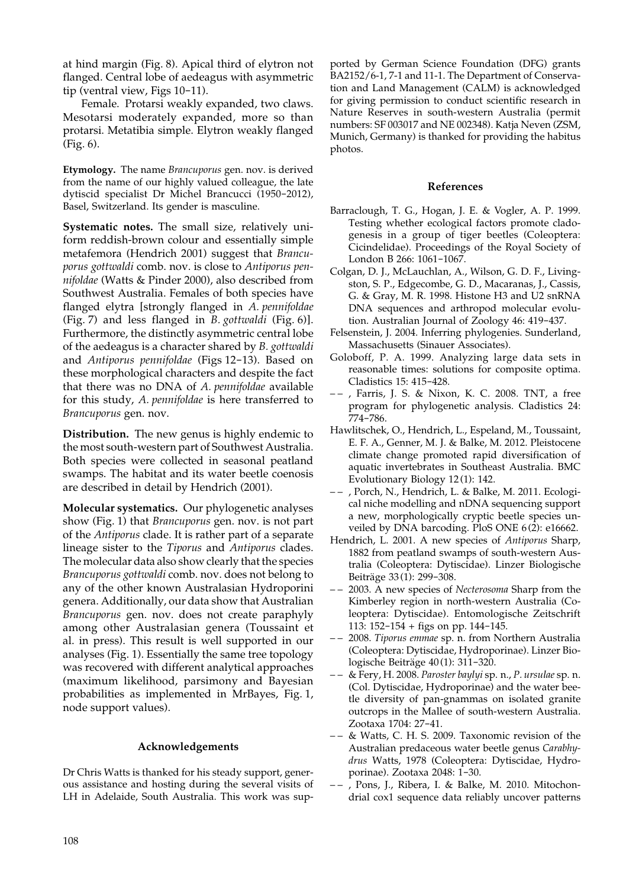at hind margin (Fig. 8). Apical third of elytron not flanged. Central lobe of aedeagus with asymmetric tip (ventral view, Figs 10-11).

Female. Protarsi weakly expanded, two claws. Mesotarsi moderately expanded, more so than protarsi. Metatibia simple. Elytron weakly flanged (Fig. 6).

**Etymology.** The name *Brancuporus* gen. nov. is derived from the name of our highly valued colleague, the late dytiscid specialist Dr Michel Brancucci (1950-2012), Basel, Switzerland. Its gender is masculine.

**Systematic notes.** The small size, relatively uniform reddish-brown colour and essentially simple metafemora (Hendrich 2001) suggest that *Brancuporus gottwaldi* comb. nov. is close to *Antiporus pennifoldae* (Watts & Pinder 2000), also described from Southwest Australia. Females of both species have flanged elytra [strongly flanged in *A. pennifoldae* (Fig. 7) and less flanged in *B. gottwaldi* (Fig. 6)]. Furthermore, the distinctly asymmetric central lobe of the aedeagus is a character shared by *B. gottwaldi* and *Antiporus pennifoldae* (Figs 12-13). Based on these morphological characters and despite the fact that there was no DNA of *A. pennifoldae* available for this study, *A. pennifoldae* is here transferred to *Brancuporus* gen. nov.

**Distribution.** The new genus is highly endemic to the most south-western part of Southwest Australia. Both species were collected in seasonal peatland swamps. The habitat and its water beetle coenosis are described in detail by Hendrich (2001).

**Molecular systematics.** Our phylogenetic analyses show (Fig. 1) that *Brancuporus* gen. nov. is not part of the *Antiporus* clade. It is rather part of a separate lineage sister to the *Tiporus* and *Antiporus* clades. The molecular data also show clearly that the species *Brancuporus gottwaldi* comb. nov. does not belong to any of the other known Australasian Hydroporini genera. Additionally, our data show that Australian *Brancuporus* gen. nov. does not create paraphyly among other Australasian genera (Toussaint et al. in press). This result is well supported in our analyses (Fig. 1). Essentially the same tree topology was recovered with different analytical approaches (maximum likelihood, parsimony and Bayesian probabilities as implemented in MrBayes, Fig. 1, node support values).

# **Acknowledgements**

Dr Chris Watts is thanked for his steady support, generous assistance and hosting during the several visits of LH in Adelaide, South Australia. This work was sup-

ported by German Science Foundation (DFG) grants BA2152/6-1, 7-1 and 11-1. The Department of Conservation and Land Management (CALM) is acknowledged for giving permission to conduct scientific research in Nature Reserves in south-western Australia (permit numbers: SF 003017 and NE 002348). Katja Neven (ZSM, Munich, Germany) is thanked for providing the habitus photos.

## **References**

- Barraclough, T. G., Hogan, J. E. & Vogler, A. P. 1999. Testing whether ecological factors promote cladogenesis in a group of tiger beetles (Coleoptera: Cicindelidae). Proceedings of the Royal Society of London B 266: 1061-1067.
- Colgan, D. J., McLauchlan, A., Wilson, G. D. F., Livingston, S. P., Edgecombe, G. D., Macaranas, J., Cassis, G. & Gray, M. R. 1998. Histone H3 and U2 snRNA DNA sequences and arthropod molecular evolution. Australian Journal of Zoology 46: 419-437.
- Felsenstein, J. 2004. Inferring phylogenies. Sunderland, Massachusetts (Sinauer Associates).
- Goloboff, P. A. 1999. Analyzing large data sets in reasonable times: solutions for composite optima. Cladistics 15: 415-428.
- – , Farris, J. S. & Nixon, K. C. 2008. TNT, a free program for phylogenetic analysis. Cladistics 24: 774-786.
- Hawlitschek, O., Hendrich, L., Espeland, M., Toussaint, E. F. A., Genner, M. J. & Balke, M. 2012. Pleistocene climate change promoted rapid diversification of aquatic invertebrates in Southeast Australia. BMC Evolutionary Biology 12(1): 142.
- – , Porch, N., Hendrich, L. & Balke, M. 2011. Ecological niche modelling and nDNA sequencing support a new, morphologically cryptic beetle species unveiled by DNA barcoding. PloS ONE 6(2): e16662.
- Hendrich, L. 2001. A new species of *Antiporus* Sharp, 1882 from peatland swamps of south-western Australia (Coleoptera: Dytiscidae). Linzer Biologische Beiträge 33(1): 299-308.
- – 2003. A new species of *Necterosoma* Sharp from the Kimberley region in north-western Australia (Coleoptera: Dytiscidae). Entomologische Zeitschrift 113: 152-154 + figs on pp. 144-145.
- – 2008. *Tiporus emmae* sp. n. from Northern Australia (Coleoptera: Dytiscidae, Hydroporinae). Linzer Biologische Beiträge 40(1): 311-320.
- – & Fery, H. 2008. *Paroster baylyi* sp. n., *P. ursulae* sp. n. (Col. Dytiscidae, Hydroporinae) and the water beetle diversity of pan-gnammas on isolated granite outcrops in the Mallee of south-western Australia. Zootaxa 1704: 27-41.
- – & Watts, C. H. S. 2009. Taxonomic revision of the Australian predaceous water beetle genus *Carabhydrus* Watts, 1978 (Coleoptera: Dytiscidae, Hydroporinae). Zootaxa 2048: 1-30.
- – , Pons, J., Ribera, I. & Balke, M. 2010. Mitochondrial cox1 sequence data reliably uncover patterns